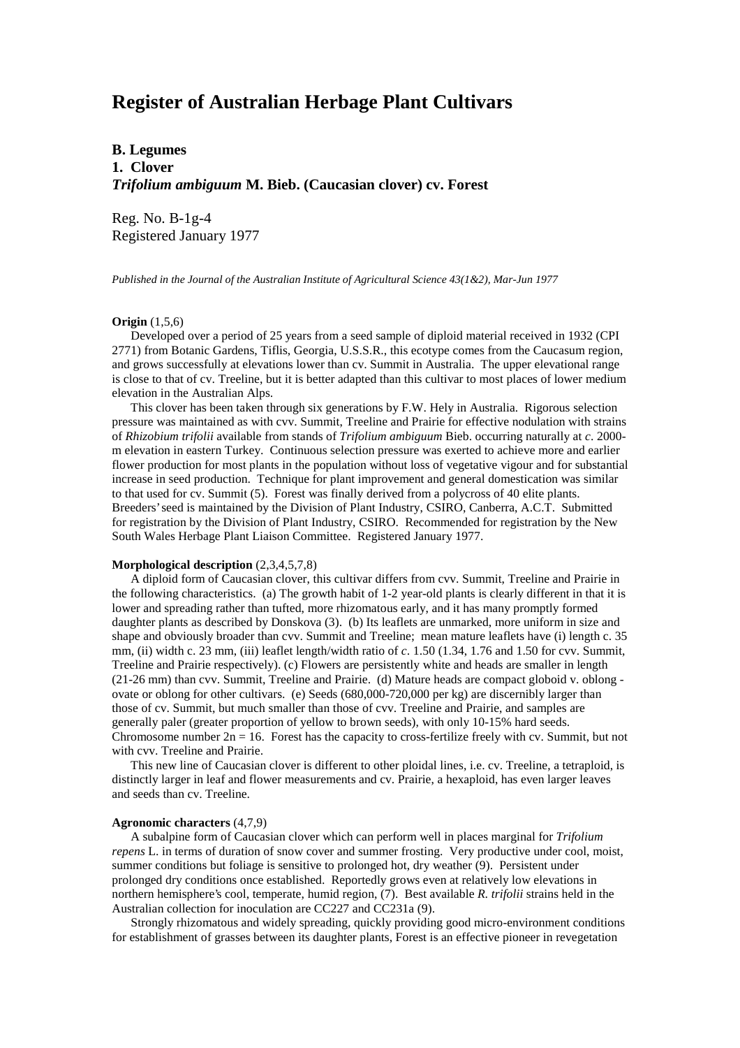# **Register of Australian Herbage Plant Cultivars**

**B. Legumes 1. Clover** *Trifolium ambiguum* **M. Bieb. (Caucasian clover) cv. Forest**

Reg. No. B-1g-4 Registered January 1977

*Published in the Journal of the Australian Institute of Agricultural Science 43(1&2), Mar-Jun 1977*

## **Origin** (1,5,6)

 Developed over a period of 25 years from a seed sample of diploid material received in 1932 (CPI 2771) from Botanic Gardens, Tiflis, Georgia, U.S.S.R., this ecotype comes from the Caucasum region, and grows successfully at elevations lower than cv. Summit in Australia. The upper elevational range is close to that of cv. Treeline, but it is better adapted than this cultivar to most places of lower medium elevation in the Australian Alps.

 This clover has been taken through six generations by F.W. Hely in Australia. Rigorous selection pressure was maintained as with cvv. Summit, Treeline and Prairie for effective nodulation with strains of *Rhizobium trifolii* available from stands of *Trifolium ambiguum* Bieb. occurring naturally at *c*. 2000 m elevation in eastern Turkey. Continuous selection pressure was exerted to achieve more and earlier flower production for most plants in the population without loss of vegetative vigour and for substantial increase in seed production. Technique for plant improvement and general domestication was similar to that used for cv. Summit (5). Forest was finally derived from a polycross of 40 elite plants. Breeders' seed is maintained by the Division of Plant Industry, CSIRO, Canberra, A.C.T. Submitted for registration by the Division of Plant Industry, CSIRO. Recommended for registration by the New South Wales Herbage Plant Liaison Committee. Registered January 1977.

# **Morphological description** (2,3,4,5,7,8)

 A diploid form of Caucasian clover, this cultivar differs from cvv. Summit, Treeline and Prairie in the following characteristics. (a) The growth habit of 1-2 year-old plants is clearly different in that it is lower and spreading rather than tufted, more rhizomatous early, and it has many promptly formed daughter plants as described by Donskova (3). (b) Its leaflets are unmarked, more uniform in size and shape and obviously broader than cvv. Summit and Treeline; mean mature leaflets have (i) length c. 35 mm, (ii) width c. 23 mm, (iii) leaflet length/width ratio of *c*. 1.50 (1.34, 1.76 and 1.50 for cvv. Summit, Treeline and Prairie respectively). (c) Flowers are persistently white and heads are smaller in length (21-26 mm) than cvv. Summit, Treeline and Prairie. (d) Mature heads are compact globoid v. oblong ovate or oblong for other cultivars. (e) Seeds (680,000-720,000 per kg) are discernibly larger than those of cv. Summit, but much smaller than those of cvv. Treeline and Prairie, and samples are generally paler (greater proportion of yellow to brown seeds), with only 10-15% hard seeds. Chromosome number  $2n = 16$ . Forest has the capacity to cross-fertilize freely with cv. Summit, but not with cvv. Treeline and Prairie.

 This new line of Caucasian clover is different to other ploidal lines, i.e. cv. Treeline, a tetraploid, is distinctly larger in leaf and flower measurements and cv. Prairie, a hexaploid, has even larger leaves and seeds than cv. Treeline.

#### **Agronomic characters** (4,7,9)

 A subalpine form of Caucasian clover which can perform well in places marginal for *Trifolium repens* L. in terms of duration of snow cover and summer frosting. Very productive under cool, moist, summer conditions but foliage is sensitive to prolonged hot, dry weather (9). Persistent under prolonged dry conditions once established. Reportedly grows even at relatively low elevations in northern hemisphere's cool, temperate, humid region, (7). Best available *R. trifolii* strains held in the Australian collection for inoculation are CC227 and CC231a (9).

 Strongly rhizomatous and widely spreading, quickly providing good micro-environment conditions for establishment of grasses between its daughter plants, Forest is an effective pioneer in revegetation